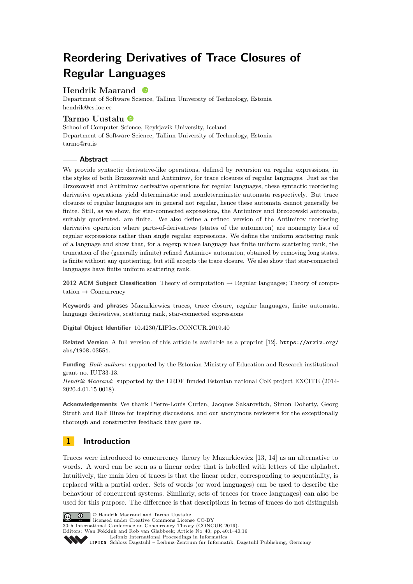# **Reordering Derivatives of Trace Closures of Regular Languages**

# **Hendrik Maarand**

Department of Software Science, Tallinn University of Technology, Estonia [hendrik@cs.ioc.ee](mailto:hendrik@cs.ioc.ee)

## **Tarmo Uustalu**

School of Computer Science, Reykjavik University, Iceland Department of Software Science, Tallinn University of Technology, Estonia [tarmo@ru.is](mailto:tarmo@ru.is)

## **Abstract**

We provide syntactic derivative-like operations, defined by recursion on regular expressions, in the styles of both Brzozowski and Antimirov, for trace closures of regular languages. Just as the Brzozowski and Antimirov derivative operations for regular languages, these syntactic reordering derivative operations yield deterministic and nondeterministic automata respectively. But trace closures of regular languages are in general not regular, hence these automata cannot generally be finite. Still, as we show, for star-connected expressions, the Antimirov and Brzozowski automata, suitably quotiented, are finite. We also define a refined version of the Antimirov reordering derivative operation where parts-of-derivatives (states of the automaton) are nonempty lists of regular expressions rather than single regular expressions. We define the uniform scattering rank of a language and show that, for a regexp whose language has finite uniform scattering rank, the truncation of the (generally infinite) refined Antimirov automaton, obtained by removing long states, is finite without any quotienting, but still accepts the trace closure. We also show that star-connected languages have finite uniform scattering rank.

**2012 ACM Subject Classification** Theory of computation → Regular languages; Theory of computation  $\rightarrow$  Concurrency

**Keywords and phrases** Mazurkiewicz traces, trace closure, regular languages, finite automata, language derivatives, scattering rank, star-connected expressions

**Digital Object Identifier** [10.4230/LIPIcs.CONCUR.2019.40](https://doi.org/10.4230/LIPIcs.CONCUR.2019.40)

**Related Version** A full version of this article is available as a preprint [\[12\]](#page-14-0), [https://arxiv.org/](https://arxiv.org/abs/1908.03551) [abs/1908.03551](https://arxiv.org/abs/1908.03551).

**Funding** *Both authors:* supported by the Estonian Ministry of Education and Research institutional grant no. IUT33-13.

*Hendrik Maarand*: supported by the ERDF funded Estonian national CoE project EXCITE (2014- 2020.4.01.15-0018).

**Acknowledgements** We thank Pierre-Louis Curien, Jacques Sakarovitch, Simon Doherty, Georg Struth and Ralf Hinze for inspiring discussions, and our anonymous reviewers for the exceptionally thorough and constructive feedback they gave us.

# **1 Introduction**

Traces were introduced to concurrency theory by Mazurkiewicz [\[13,](#page-14-1) [14\]](#page-14-2) as an alternative to words. A word can be seen as a linear order that is labelled with letters of the alphabet. Intuitively, the main idea of traces is that the linear order, corresponding to sequentiality, is replaced with a partial order. Sets of words (or word languages) can be used to describe the behaviour of concurrent systems. Similarly, sets of traces (or trace languages) can also be used for this purpose. The difference is that descriptions in terms of traces do not distinguish



© Hendrik Maarand and Tarmo Uustalu; licensed under Creative Commons License CC-BY

30th International Conference on Concurrency Theory (CONCUR 2019).

Editors: Wan Fokkink and Rob van Glabbeek; Article No. 40; pp. 40:1–40[:16](#page-15-0)

[Leibniz International Proceedings in Informatics](https://www.dagstuhl.de/lipics/) [Schloss Dagstuhl – Leibniz-Zentrum für Informatik, Dagstuhl Publishing, Germany](https://www.dagstuhl.de)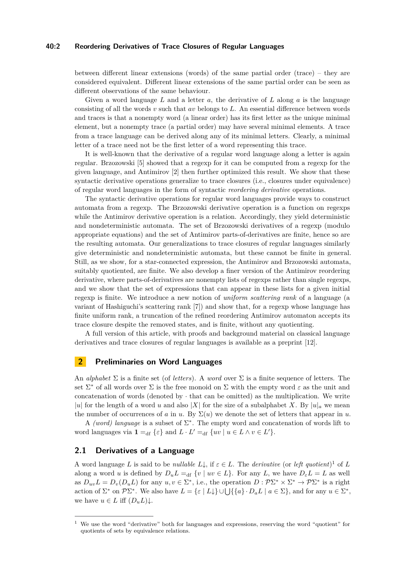#### **40:2 Reordering Derivatives of Trace Closures of Regular Languages**

between different linear extensions (words) of the same partial order (trace) – they are considered equivalent. Different linear extensions of the same partial order can be seen as different observations of the same behaviour.

Given a word language *L* and a letter *a*, the derivative of *L* along *a* is the language consisting of all the words *v* such that *av* belongs to *L*. An essential difference between words and traces is that a nonempty word (a linear order) has its first letter as the unique minimal element, but a nonempty trace (a partial order) may have several minimal elements. A trace from a trace language can be derived along any of its minimal letters. Clearly, a minimal letter of a trace need not be the first letter of a word representing this trace.

It is well-known that the derivative of a regular word language along a letter is again regular. Brzozowski [\[5\]](#page-14-3) showed that a regexp for it can be computed from a regexp for the given language, and Antimirov [\[2\]](#page-14-4) then further optimized this result. We show that these syntactic derivative operations generalize to trace closures (i.e., closures under equivalence) of regular word languages in the form of syntactic *reordering derivative* operations.

The syntactic derivative operations for regular word languages provide ways to construct automata from a regexp. The Brzozowski derivative operation is a function on regexps while the Antimirov derivative operation is a relation. Accordingly, they yield deterministic and nondeterministic automata. The set of Brzozowski derivatives of a regexp (modulo appropriate equations) and the set of Antimirov parts-of-derivatives are finite, hence so are the resulting automata. Our generalizations to trace closures of regular languages similarly give deterministic and nondeterministic automata, but these cannot be finite in general. Still, as we show, for a star-connected expression, the Antimirov and Brzozowski automata, suitably quotiented, are finite. We also develop a finer version of the Antimirov reordering derivative, where parts-of-derivatives are nonempty lists of regexps rather than single regexps, and we show that the set of expressions that can appear in these lists for a given initial regexp is finite. We introduce a new notion of *uniform scattering rank* of a language (a variant of Hashiguchi's scattering rank [\[7\]](#page-14-5)) and show that, for a regexp whose language has finite uniform rank, a truncation of the refined reordering Antimirov automaton accepts its trace closure despite the removed states, and is finite, without any quotienting.

A full version of this article, with proofs and background material on classical language derivatives and trace closures of regular languages is available as a preprint [\[12\]](#page-14-0).

# **2 Preliminaries on Word Languages**

An *alphabet* Σ is a finite set (of *letters*). A *word* over Σ is a finite sequence of letters. The set  $\Sigma^*$  of all words over  $\Sigma$  is the free monoid on  $\Sigma$  with the empty word  $\varepsilon$  as the unit and concatenation of words (denoted by  $\cdot$  that can be omitted) as the multiplication. We write |*u*| for the length of a word *u* and also |*X*| for the size of a subalphabet *X*. By  $|u|_a$  we mean the number of occurrences of *a* in *u*. By  $\Sigma(u)$  we denote the set of letters that appear in *u*.

A *(word)* language is a subset of  $\Sigma^*$ . The empty word and concatenation of words lift to word languages via  $\mathbf{1} =_{df} {\varepsilon}$  and  $L \cdot L' =_{df} {uv | u \in L \wedge v \in L'}$ .

## <span id="page-1-1"></span>**2.1 Derivatives of a Language**

A word language *L* is said to be *nullable*  $L\downarrow$ , if  $\varepsilon \in L$ . The *derivative* (or *left quotient*)<sup>[1](#page-1-0)</sup> of *L* along a word *u* is defined by  $D_u L =_{df} \{v \mid uv \in L\}$ . For any *L*, we have  $D_{\varepsilon} L = L$  as well as  $D_{uv}L = D_v(D_u L)$  for any  $u, v \in \Sigma^*$ , i.e., the operation  $D : \mathcal{P} \Sigma^* \times \Sigma^* \to \mathcal{P} \Sigma^*$  is a right action of  $\Sigma^*$  on  $\mathcal{P}\Sigma^*$ . We also have  $L = \{\varepsilon \mid L\downarrow\} \cup \bigcup \{\{a\} \cdot D_a L \mid a \in \Sigma\}$ , and for any  $u \in \Sigma^*$ , we have  $u \in L$  iff  $(D_u L) \downarrow$ .

<span id="page-1-0"></span><sup>1</sup> We use the word "derivative" both for languages and expressions, reserving the word "quotient" for quotients of sets by equivalence relations.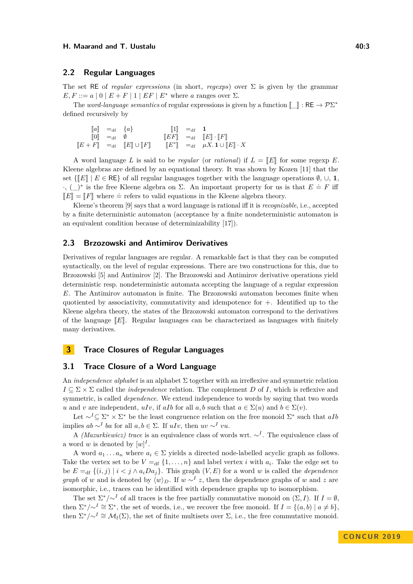#### **H.** Maarand and T. Uustalu **40:3 All and T. Uustalu** 40:3

## **2.2 Regular Languages**

The set RE of *regular expressions* (in short, *regexps*) over Σ is given by the grammar  $E, F ::= a | 0 | E + F | 1 | EF | E^*$  where *a* ranges over  $\Sigma$ .

The *word-language semantics* of regular expressions is given by a function  $[\![\underline{\phantom{a}}]\!]$ : RE  $\rightarrow \mathcal{P}\Sigma^*$ defined recursively by

| $\ a\  =_{\text{df}} \{a\}$                         |                                                                                                  | $\llbracket 1 \rrbracket =_{\mathrm{df}} 1$ |                                                                                                  |
|-----------------------------------------------------|--------------------------------------------------------------------------------------------------|---------------------------------------------|--------------------------------------------------------------------------------------------------|
| $\llbracket 0 \rrbracket =_{\mathrm{df}} \emptyset$ |                                                                                                  |                                             | $\llbracket EF \rrbracket =_{\mathrm{df}} \llbracket E \rrbracket \cdot \llbracket F \rrbracket$ |
|                                                     | $\llbracket E + F \rrbracket =_{\text{df}} \llbracket E \rrbracket \cup \llbracket F \rrbracket$ |                                             | $\llbracket E^* \rrbracket =_{\text{df}} \mu X. \mathbf{1} \cup \llbracket E \rrbracket \cdot X$ |
|                                                     |                                                                                                  |                                             |                                                                                                  |

A word language L is said to be *regular* (or *rational*) if  $L = \mathbb{E}$  for some regexp E. Kleene algebras are defined by an equational theory. It was shown by Kozen [\[11\]](#page-14-6) that the set  $\{\llbracket E\rrbracket \mid E \in \mathsf{RE}\}\$  of all regular languages together with the language operations  $\emptyset$ ,  $\cup$ , **1**,  $\cdot$ , (\_)<sup>\*</sup> is the free Kleene algebra on Σ. An important property for us is that *E* = *F* iff  $\llbracket E \rrbracket = \llbracket F \rrbracket$  where  $\dot{=}$  refers to valid equations in the Kleene algebra theory.

Kleene's theorem [\[9\]](#page-14-7) says that a word language is rational iff it is *recognizable*, i.e., accepted by a finite deterministic automaton (acceptance by a finite nondeterministic automaton is an equivalent condition because of determinizability [\[17\]](#page-14-8)).

#### **2.3 Brzozowski and Antimirov Derivatives**

Derivatives of regular languages are regular. A remarkable fact is that they can be computed syntactically, on the level of regular expressions. There are two constructions for this, due to Brzozowski [\[5\]](#page-14-3) and Antimirov [\[2\]](#page-14-4). The Brzozowski and Antimirov derivative operations yield deterministic resp. nondeterministic automata accepting the language of a regular expression *E*. The Antimirov automaton is finite. The Brzozowski automaton becomes finite when quotiented by associativity, commutativity and idempotence for +. Identified up to the Kleene algebra theory, the states of the Brzozowski automaton correspond to the derivatives of the language  $\llbracket E \rrbracket$ . Regular languages can be characterized as languages with finitely many derivatives.

## **3 Trace Closures of Regular Languages**

## **3.1 Trace Closure of a Word Language**

An *independence alphabet* is an alphabet Σ together with an irreflexive and symmetric relation  $I \subseteq \Sigma \times \Sigma$  called the *independence* relation. The complement *D* of *I*, which is reflexive and symmetric, is called *dependence*. We extend independence to words by saying that two words *u* and *v* are independent, *uIv*, if *aIb* for all *a, b* such that  $a \in \Sigma(u)$  and  $b \in \Sigma(v)$ .

Let  $\sim$ <sup>*I*</sup>⊆ Σ<sup>\*</sup> × Σ<sup>\*</sup> be the least congruence relation on the free monoid Σ<sup>\*</sup> such that *aIb* implies  $ab \sim^I ba$  for all  $a, b \in \Sigma$ . If  $uIv$ , then  $uv \sim^I vu$ .

A *(Mazurkiewicz) trace* is an equivalence class of words wrt. ∼*<sup>I</sup>* . The equivalence class of a word *w* is denoted by  $[w]^I$ .

A word  $a_1 \ldots a_n$  where  $a_i \in \Sigma$  yields a directed node-labelled acyclic graph as follows. Take the vertex set to be  $V =_{df} \{1, \ldots, n\}$  and label vertex *i* with  $a_i$ . Take the edge set to be  $E = \text{df } \{(i, j) | i < j \land a_i Da_j\}$ . This graph  $(V, E)$  for a word *w* is called the *dependence graph* of *w* and is denoted by  $\langle w \rangle_D$ . If  $w \sim^I z$ , then the dependence graphs of *w* and *z* are isomorphic, i.e., traces can be identified with dependence graphs up to isomorphism.

The set  $\Sigma^*/\sim^I$  of all traces is the free partially commutative monoid on  $(\Sigma, I)$ . If  $I = \emptyset$ , then  $\Sigma^*/\sim^I \cong \Sigma^*$ , the set of words, i.e., we recover the free monoid. If  $I = \{(a, b) \mid a \neq b\}$ , then  $\Sigma^*/\sim^I \cong \mathcal{M}_{f}(\Sigma)$ , the set of finite multisets over  $\Sigma$ , i.e., the free commutative monoid.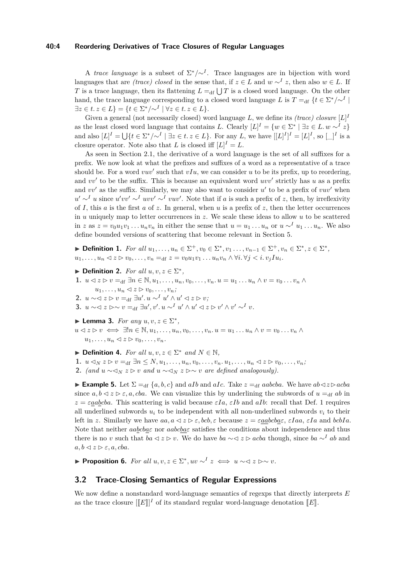#### **40:4 Reordering Derivatives of Trace Closures of Regular Languages**

A *trace language* is a subset of  $\Sigma^*/\sim^I$ . Trace languages are in bijection with word languages that are *(trace) closed* in the sense that, if  $z \in L$  and  $w \sim^{I} z$ , then also  $w \in L$ . If *T* is a trace language, then its flattening  $L =_{df} \bigcup T$  is a closed word language. On the other hand, the trace language corresponding to a closed word language *L* is  $T =$ <sub>df</sub>  $\{t \in \Sigma^*/\sim^I \mid$  $\exists z \in t \ldotp z \in L$  $\} = \{ t \in \Sigma^* / \sim^I \mid \forall z \in t \ldotp z \in L \}.$ 

Given a general (not necessarily closed) word language  $L$ , we define its *(trace) closure*  $[L]^L$ as the least closed word language that contains *L*. Clearly  $[L]^I = \{w \in \Sigma^* \mid \exists z \in L \ldots w \sim^I z\}$ and also  $[L]^I = \bigcup \{ t \in \Sigma^* / \sim^I \mid \exists z \in t \ldotp z \in L \}.$  For any *L*, we have  $[[L]^I]^I = [L]^I$ , so  $[\_]^I$  is a closure operator. Note also that *L* is closed iff  $[L]^I = L$ .

As seen in Section [2.1,](#page-1-1) the derivative of a word language is the set of all suffixes for a prefix. We now look at what the prefixes and suffixes of a word as a representative of a trace should be. For a word  $vuv'$  such that  $vIu$ , we can consider  $u$  to be its prefix, up to reordering, and  $vv'$  to be the suffix. This is because an equivalent word  $uvv'$  strictly has *u* as a prefix and  $vv'$  as the suffix. Similarly, we may also want to consider  $u'$  to be a prefix of  $vuv'$  when  $u' \sim^I u$  since  $u'vv' \sim^I uvv' \sim^I vuv'$ . Note that if *a* is such a prefix of *z*, then, by irreflexivity of *I*, this *a* is the first *a* of *z*. In general, when *u* is a prefix of *z*, then the letter occurrences in *u* uniquely map to letter occurrences in *z*. We scale these ideas to allow *u* to be scattered in z as  $z = v_0 u_1 v_1 \dots u_n v_n$  in either the sense that  $u = u_1 \dots u_n$  or  $u \sim^I u_1 \dots u_n$ . We also define bounded versions of scattering that become relevant in Section [5.](#page-9-0)

<span id="page-3-0"></span>► **Definition 1.** *For all*  $u_1, ..., u_n \in \Sigma^+, v_0 \in \Sigma^*, v_1, ..., v_{n-1} \in \Sigma^+, v_n \in \Sigma^*, z \in \Sigma^*,$  $u_1, \ldots, u_n \leq z \rhd v_0, \ldots, v_n =_{df} z = v_0 u_1 v_1 \ldots u_n v_n \wedge \forall i. \forall j \leq i. v_j I u_i.$ 

- $\blacktriangleright$  **Definition 2.** *For all*  $u, v, z \in \Sigma^*$ , 1.  $u \leq z \geq v =_{df} \exists n \in \mathbb{N}, u_1, \ldots, u_n, v_0, \ldots, v_n, u = u_1 \ldots u_n \wedge v = v_0 \ldots v_n \wedge v$  $u_1, \ldots, u_n \leq z \geq v_0, \ldots, v_n;$ **2.** *u* ∼ $z$   $>$  *v* =<sub>df</sub> ∃*u'*. *u* ∼<sup>*I*</sup> *u'* ∧ *u'* ⊲ *z*  $>$  *v*;
- **3.**  $u \sim 0 \le x \ge 0$   $v =_{df} \exists u', v'. u \sim^{I} u' \wedge u' \le x \ge v' \wedge v' \sim^{I} v.$
- **Lemma 3.** *For any*  $u, v, z \in \Sigma^*$ ,
- $u \leq z \geq v \iff \exists! n \in \mathbb{N}, u_1, \ldots, u_n, v_0, \ldots, v_n, u = u_1 \ldots u_n \wedge v = v_0 \ldots v_n \wedge v$  $u_1, \ldots, u_n \leq z \geq v_0, \ldots, v_n$ .

 $\blacktriangleright$  **Definition 4.** *For all*  $u, v, z \in \Sigma^*$  *and*  $N \in \mathbb{N}$ *,* 

1.  $u \triangleleft_N z \triangleright v =_{df} \exists n \leq N, u_1, \dots, u_n, v_0, \dots, v_n, u_1, \dots, u_n \triangleleft z \triangleright v_0, \dots, v_n;$ 

**2.** *(and u* ∼ $\lhd_N z \rhd v$  *and*  $u \sim \lhd_N z \rhd \lhd v$  *are defined analogously).* 

**Example 5.** Let  $\Sigma =_{df} \{a, b, c\}$  and *aIb* and *aIc*. Take  $z =_{df} aabcba$ . We have  $ab \triangleleft z \triangleright acba$ since  $a, b \leq z \geq \varepsilon, a, cba$ . We can visualize this by underlining the subwords of  $u =_{df} ab$  in  $z = \varepsilon$ <u>aabcba</u>. This scattering is valid because  $\varepsilon Ia$ ,  $\varepsilon Ib$  and *aIb*: recall that Def. [1](#page-3-0) requires all underlined subwords  $u_i$  to be independent with all non-underlined subwords  $v_i$  to their left in *z*. Similarly we have  $aa, a \leq z \geq \varepsilon, bcb, \varepsilon$  because  $z = \varepsilon a \cdot ab \cdot \varepsilon b \cdot a$ ,  $\varepsilon I a$  and  $bcb I a$ . Note that neither *aabcbaε* nor *aabcbaε* satisfies the conditions about independence and thus there is no *v* such that  $ba \le z \ge v$ . We do have  $ba \sim z \ge acba$  though, since  $ba \sim^I ab$  and  $a, b \leq z \geq \varepsilon, a, cba$ .

▶ **Proposition 6.** *For all*  $u, v, z \in \Sigma^*$ ,  $uv \sim^I z \iff u \sim \exists z \rhd \sim v$ .

## **3.2 Trace-Closing Semantics of Regular Expressions**

We now define a nonstandard word-language semantics of regexps that directly interprets *E* as the trace closure  $[[E]]^I$  of its standard regular word-language denotation  $[[E]]$ .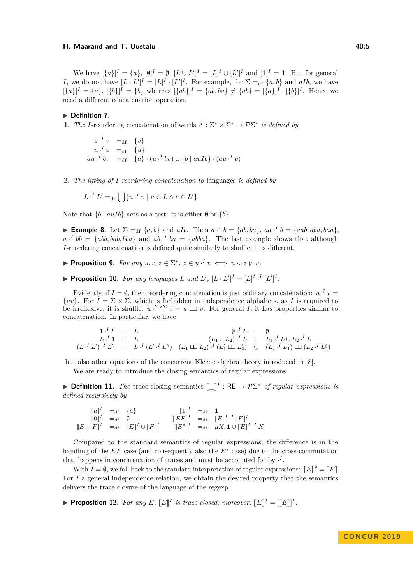#### **H.** Maarand and T. Uustalu **40:5** and the Uustalu 40:5

We have  $[\{a\}]^I = \{a\}$ ,  $[\emptyset]^I = \emptyset$ ,  $[L \cup L']^I = [L]^I \cup [L']^I$  and  $[1]^I = 1$ . But for general *I*, we do not have  $[L \cdot L']^I = [L]^I \cdot [L']^I$ . For example, for  $\Sigma =_{df} \{a, b\}$  and  $aIb$ , we have  $[\{a\}]^I = \{a\}, \ [\{b\}]^I = \{b\}$  whereas  $[\{ab\}]^I = \{ab, ba\} \neq \{ab\} = [\{a\}]^I \cdot [\{b\}]^I$ . Hence we need a different concatenation operation.

#### ▶ Definition 7.

**1.** *The I*-reordering concatenation of words  $\cdot^I : \Sigma^* \times \Sigma^* \to \mathcal{P}\Sigma^*$  *is defined by* 

 $\varepsilon \cdot^I v = d_f \{v\}$  $u \cdot^I \varepsilon =_{df} \{u\}$  $au \cdot^I bv = d_f \{a\} \cdot (u \cdot^I bv) \cup \{b \mid auIb\} \cdot (au \cdot^I v)$ 

**2.** *The lifting of I-reordering concatenation to* languages *is defined by*

$$
L \cdot^I L' =_{\text{df}} \bigcup \{ u \cdot^I v \mid u \in L \land v \in L' \}
$$

Note that  $\{b \mid \text{auIb}\}$  acts as a test: it is either  $\emptyset$  or  $\{b\}$ .

**Example 8.** Let  $\Sigma =_{df} \{a, b\}$  and aIb. Then  $a \cdot^I b = \{ab, ba\}$ ,  $aa \cdot^I b = \{aab, aba, baa\}$ ,  $a \cdot^I bb = \{abb, bab, bba\}$  and  $ab \cdot^I ba = \{abba\}$ . The last example shows that although *I*-reordering concatenation is defined quite similarly to shuffle, it is different.

- <span id="page-4-0"></span>**Proposition 9.** For any  $u, v, z \in \Sigma^*$ ,  $z \in u \cdot^I v \iff u \leq z \rhd v$ .
- **Proposition 10.** For any languages L and L',  $[L \cdot L']^I = [L]^I \cdot I^I [L']^I$ .

Evidently, if  $I = \emptyset$ , then reordering concatenation is just ordinary concatenation:  $u \cdot^{\emptyset} v =$  $\{uv\}$ . For  $I = \Sigma \times \Sigma$ , which is forbidden in independence alphabets, as *I* is required to be irreflexive, it is shuffle:  $u \cdot^{\Sigma \times \Sigma} v = u \sqcup v$ . For general *I*, it has properties similar to concatenation. In particular, we have

$$
\begin{array}{rcl}\n\mathbf{1} \cdot^{I} L & = & L \\
L \cdot^{I} \mathbf{1} & = & L \\
(L \cdot^{I} L') \cdot^{I} L'' & = & L \cdot^{I} (L' \cdot^{I} L'') \\
(L_1 \cup L_2) \cdot^{I} L' & = & L_1 \cdot^{I} L \cup L_2 \cdot^{I} L \\
(L_1 \cup L_2) \cdot^{I} (L_1' \cup L_2') & \subseteq & (L_1 \cdot^{I} L_1') \cup (L_2 \cdot^{I} L_2') \\
\end{array}
$$

but also other equations of the concurrent Kleene algebra theory introduced in [\[8\]](#page-14-9).

We are ready to introduce the closing semantics of regular expressions.

**► Definition 11.** *The* trace-closing semantics  $\llbracket \_\rrbracket^I : RE \to \mathcal{P}\Sigma^*$  *of regular expressions is defined recursively by*

 $\llbracket a \rrbracket^I =_{\text{df}} \{a\}$   $\llbracket 1 \rrbracket^I =_{\text{df}} 1$  $\begin{bmatrix} \begin{bmatrix} 0 \end{bmatrix}^I & =_{\text{df}} \quad \emptyset & \begin{bmatrix} \begin{bmatrix} EF \end{bmatrix}^I & =_{\text{df}} \quad \begin{bmatrix} EF \end{bmatrix}^I \cdot \begin{bmatrix} IF \end{bmatrix}^I \end{bmatrix} \ \begin{bmatrix} EF \end{bmatrix}^I & =_{\text{df}} \quad \begin{bmatrix} IF \end{bmatrix}^I \cdot \begin{bmatrix} IF \end{bmatrix}^I \end{bmatrix}$  $[E + F]^I$  =df  $[E]^I \cup [F]^I$   $[E^*]^I$  =df  $\mu X. \mathbf{1} \cup [E]^I \cdot X$ 

Compared to the standard semantics of regular expressions, the difference is in the handling of the *EF* case (and consequently also the *E*<sup>∗</sup> case) due to the cross-commutation that happens in concatenation of traces and must be accounted for by  $\cdot^{I}$ .

With  $I = \emptyset$ , we fall back to the standard interpretation of regular expressions:  $\llbracket E \rrbracket^{\emptyset} = \llbracket E \rrbracket$ .<br>*Le general* independence relation, we obtain the desired preparty that the computies For *I* a general independence relation, we obtain the desired property that the semantics delivers the trace closure of the language of the regexp.

**Proposition 12.** For any E,  $[[E]]^I$  is trace closed; moreover,  $[[E]]^I = [[E]]^I$ .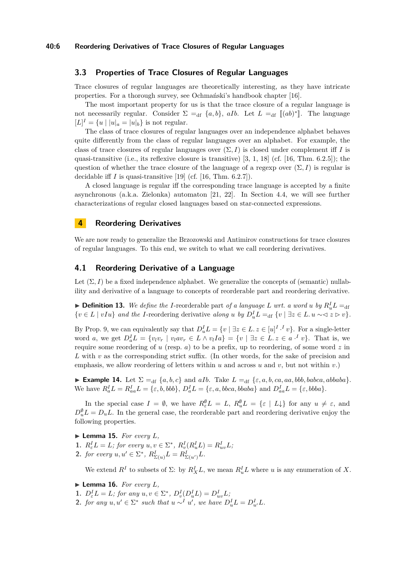## **3.3 Properties of Trace Closures of Regular Languages**

Trace closures of regular languages are theoretically interesting, as they have intricate properties. For a thorough survey, see Ochmański's handbook chapter [\[16\]](#page-14-10).

The most important property for us is that the trace closure of a regular language is not necessarily regular. Consider  $\Sigma =_{df} \{a, b\}$ , *aIb*. Let  $L =_{df} [(ab)^*]$ . The language  $[L]^I = \{u \mid |u|_a = |u|_b\}$  is not regular.

The class of trace closures of regular languages over an independence alphabet behaves quite differently from the class of regular languages over an alphabet. For example, the class of trace closures of regular languages over  $(\Sigma, I)$  is closed under complement iff *I* is quasi-transitive (i.e., its reflexive closure is transitive)  $[3, 1, 18]$  $[3, 1, 18]$  $[3, 1, 18]$  $[3, 1, 18]$  $[3, 1, 18]$  (cf.  $[16, Thm. 6.2.5]$  $[16, Thm. 6.2.5]$ ); the question of whether the trace closure of the language of a regexp over  $(\Sigma, I)$  is regular is decidable if *I* is quasi-transitive [\[19\]](#page-14-14) (cf. [\[16,](#page-14-10) Thm. 6.2.7]).

A closed language is regular iff the corresponding trace language is accepted by a finite asynchronous (a.k.a. Zielonka) automaton [\[21,](#page-15-1) [22\]](#page-15-2). In Section [4.4,](#page-8-0) we will see further characterizations of regular closed languages based on star-connected expressions.

## **4 Reordering Derivatives**

We are now ready to generalize the Brzozowski and Antimirov constructions for trace closures of regular languages. To this end, we switch to what we call reordering derivatives.

## **4.1 Reordering Derivative of a Language**

Let  $(\Sigma, I)$  be a fixed independence alphabet. We generalize the concepts of (semantic) nullability and derivative of a language to concepts of reorderable part and reordering derivative.

 $\blacktriangleright$  **Definition 13.** We define the I-reorderable part of a language L wrt. a word u by  $R_u^I L =_{\text{df}}$  $\{v \in L \mid vIu\}$  and the *I*-reordering derivative along *u* by  $D_u^IL =$ df  $\{v \mid \exists z \in L. u \sim \exists z \in v\}$ .

By Prop. [9,](#page-4-0) we can equivalently say that  $D_u^I L = \{v \mid \exists z \in L \ldots z \in [u]^{I} \cdot {^I} v\}$ . For a single-letter word a, we get  $D_a^I L = \{v_l v_r \mid v_l a v_r \in L \wedge v_l I a\} = \{v \mid \exists z \in L. z \in a \cdot^I v\}$ . That is, we require some reordering of *u* (resp. *a*) to be a prefix, up to reordering, of some word *z* in *L* with *v* as the corresponding strict suffix. (In other words, for the sake of precision and emphasis, we allow reordering of letters within *u* and across *u* and *v*, but not within *v*.)

► **Example 14.** Let  $\Sigma =_{df} \{a, b, c\}$  and *aIb*. Take  $L =_{df} \{\varepsilon, a, b, ca, aa, bbb, babca, abbaba\}.$ We have  $R_a^I L = R_{aa}^I L = \{\varepsilon, b, bbb\}, D_a^I L = \{\varepsilon, a, b b c a, b b a b a\}$  and  $D_{aa}^I L = \{\varepsilon, b b b a\}.$ 

In the special case  $I = \emptyset$ , we have  $R_{\varepsilon}^{\emptyset}L = L$ ,  $R_{u}^{\emptyset}L = {\varepsilon | L \downarrow}$  for any  $u \neq \varepsilon$ , and  $D_u^{\emptyset} L = D_u L$ . In the general case, the reorderable part and reordering derivative enjoy the following properties.

 $\blacktriangleright$  **Lemma 15.** *For every L*,

**1.**  $R_{\varepsilon}^{I} L = L$ ; for every  $u, v \in \Sigma^{*}$ ,  $R_{v}^{I}(R_{u}^{I} L) = R_{uv}^{I} L$ ;

**2.** *for every*  $u, u' \in \Sigma^*$ ,  $R^I_{\Sigma(u)}L = R^I_{\Sigma(u')}L$ .

We extend  $R^I$  to subsets of  $\Sigma$ : by  $R_X^I L$ , we mean  $R_u^I L$  where *u* is any enumeration of *X*.

- $\blacktriangleright$  **Lemma 16.** *For every L*,
- **1.**  $D_{\varepsilon}^{I}L = L$ ; for any  $u, v \in \Sigma^{*}$ ,  $D_{v}^{I}(D_{u}^{I}L) = D_{uv}^{I}L$ ;
- 2. *for any*  $u, u' \in \Sigma^*$  *such that*  $u \sim^I u'$ *, we have*  $D_u^I L = D_u^I L$ .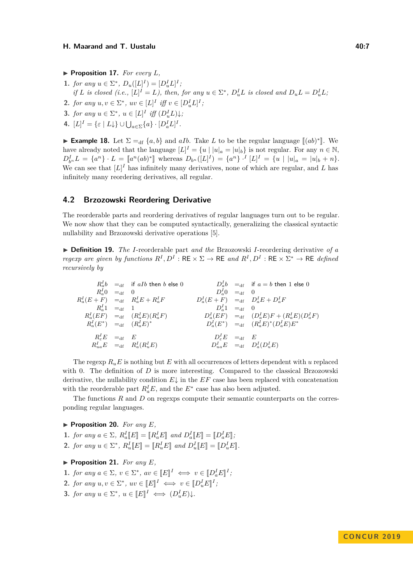- $\blacktriangleright$  **Proposition 17.** *For every L*,
- **1.** *for any*  $u \in \Sigma^*$ ,  $D_u([L]^I) = [D_u^IL]^I$ ; if L is closed (i.e.,  $[L]^I = L$ ), then, for any  $u \in \Sigma^*$ ,  $D_u^I L$  is closed and  $D_u L = D_u^I L$ ;
- **2.** *for any*  $u, v \in \Sigma^*$ ,  $uv \in [L]^I$  *iff*  $v \in [D_u^IL]^I$ ;
- **3.** *for any*  $u \in \Sigma^*$ ,  $u \in [L]^I$  *iff*  $(D_u^I L) \downarrow$ ;
- **4.**  $[L]^I = \{ \varepsilon \mid L \downarrow \} \cup \bigcup_{a \in \Sigma} \{a\} \cdot [D_a^I L]^I.$

<span id="page-6-1"></span>► **Example 18.** Let  $\Sigma =_{df} \{a, b\}$  and *aIb*. Take *L* to be the regular language  $[(ab)^*]$ . We have already noted that the language  $[L]^I = \{u \mid |u|_a = |u|_b\}$  is not regular. For any  $n \in \mathbb{N}$ ,  $D_{b}^{I}L = \{a^{n}\}\cdot L = [a^{n}(ab)^{*}]$  whereas  $D_{b^{n}}([L]^{I}) = \{a^{n}\}\cdot^{I}[L]^{I} = \{u \mid |u|_{a} = |u|_{b} + n\}.$ <br>We see see that [*I*] has infinitely many deviatives, none of which are neglige and *I* has We can see that  $[L]^I$  has infinitely many derivatives, none of which are regular, and  $L$  has infinitely many reordering derivatives, all regular.

## **4.2 Brzozowski Reordering Derivative**

The reorderable parts and reordering derivatives of regular languages turn out to be regular. We now show that they can be computed syntactically, generalizing the classical syntactic nullability and Brzozowski derivative operations [\[5\]](#page-14-3).

I **Definition 19.** *The I*-reorderable part *and the* Brzozowski *I*-reordering derivative *of a regexp are given by functions*  $R^I, D^I : \mathsf{RE} \times \Sigma \to \mathsf{RE}$  and  $R^I, D^I : \mathsf{RE} \times \Sigma^* \to \mathsf{RE}$  defined *recursively by*

 $R_a^I b$  =df if  $aIb$  then *b* else 0  $D_a^I b$  =df if  $a = b$  then 1 else 0  $R_a^I 0 = d_f 0$  *D*<sup>*I*</sup></sup> *a*f 0  $R_a^I(E+F) =_{\text{df}} R_a^I E + R_a^I F$   $D_a^I(E+F) =_{\text{df}} D_a^I E + D_a^I F$  $R_a^I 1 =_{df} 1$  *D*<sup>*I*</sup><sub>*a*</sub>1 =df 0  $R_a^I(EF) =_{\text{df}} (R_a^I E)(R_a^I F)$   $D_a^I(EF) =_{\text{df}} (D_a^I E)F + (R_a^I E)(D_a^I F)$  $D_a^I(E^*)$  =df  $(R_a^I E)^*$   $D_a^I(E^*)$  =df  $(R_a^I E)^* (D_a^I E) E^*$  $R_{\varepsilon}^I E =_{\text{df}} E$  *D*<sub> $\varepsilon$ </sub>  $E_{\varepsilon}^{\prime}E =_{\text{df}} E$  $R^I_{ua}E =_{df} R^I_a(R^I_u)$  $D_{ua}^I E$  =df  $D_a^I (D_u^I E)$ 

The regexp  $R_u E$  is nothing but E with all occurrences of letters dependent with *u* replaced with 0. The definition of *D* is more interesting. Compared to the classical Brzozowski derivative, the nullability condition  $E\downarrow$  in the  $EF$  case has been replaced with concatenation with the reorderable part  $R_a^I E$ , and the  $E^*$  case has also been adjusted.

The functions *R* and *D* on regexps compute their semantic counterparts on the corresponding regular languages.

## ▶ **Proposition 20.** *For any E*,

- **1.** *for any*  $a \in \Sigma$ *,*  $R_a^I$ *E*<sub> $\parallel$ </sub> =  $\left[$  $R_a^I$ **E** $\parallel$  and  $D_a^I$ **E** $\parallel$  =  $\left[$  $D_a^I$ **E** $\parallel$ ;
- **2.** *for any*  $u \in \Sigma^*$ ,  $R_u^I[E] = [R_u^I E]$  *and*  $D_u^I[E] = [D_u^I E]$ .

## <span id="page-6-0"></span> $\blacktriangleright$  **Proposition 21.** *For any E*,

- **1.** *for any*  $a \in \Sigma$ ,  $v \in \Sigma^*$ ,  $av \in [E]^I \iff v \in [D_d^I E]^I$ ;
- **2.** *for any*  $u, v \in \Sigma^*$ ,  $uv \in [E]^I \iff v \in [D_u^I E]^I$ ;
- <span id="page-6-2"></span>**3.** *for any*  $u \in \Sigma^*$ ,  $u \in [E]^I \iff (D_u^I E) \downarrow$ .

**CON C U R 2 0 1 9**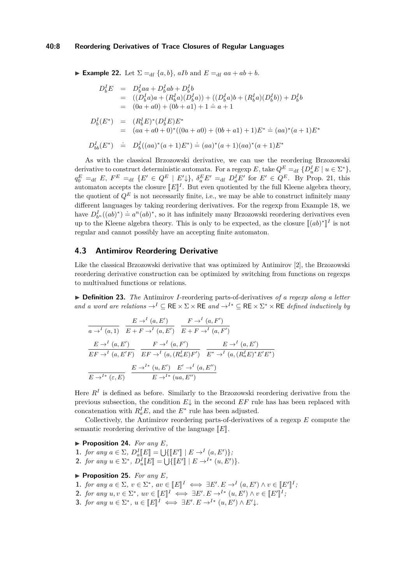#### **40:8 Reordering Derivatives of Trace Closures of Regular Languages**

**Example 22.** Let  $\Sigma =_{df} \{a, b\}$ , all and  $E =_{df} aa + ab + b$ .

$$
D_b^I E = D_b^I a a + D_b^I a b + D_b^I b
$$
  
= 
$$
((D_b^I a) a + (R_b^I a)(D_b^I a)) + ((D_b^I a) b + (R_b^I a)(D_b^I b)) + D_b^I b
$$
  
= 
$$
(0a + a0) + (0b + a1) + 1 = a + 1
$$
  

$$
D_b^I (E^*) = (R_b^I E)^* (D_b^I E) E^*
$$
  
= 
$$
(aa + a0 + 0)^* ((0a + a0) + (0b + a1) + 1) E^* = (aa)^* (a + 1) E^*
$$

$$
D_{bb}^I(E^*) \doteq D_b^I((aa)^*(a+1)E^*) \doteq (aa)^*(a+1)(aa)^*(a+1)E^*
$$

As with the classical Brzozowski derivative, we can use the reordering Brzozowski derivative to construct deterministic automata. For a regexp *E*, take  $Q^E =$ df  $\{D_u^I E \mid u \in \Sigma^*\}$ ,  $q_0^E =_{\text{df}} E$ ,  $F^E =_{\text{df}} \{ E' \in Q^E \mid E' \downarrow \}, \ \delta_a^E E' =_{\text{df}} D_a^I E'$  for  $E' \in Q^E$ . By Prop. [21,](#page-6-0) this automaton accepts the closure  $[[E]]^I$ . But even quotiented by the full Kleene algebra theory, the quotient of  $Q^E$  is not necessarily finite, i.e., we may be able to construct infinitely many different languages by taking reordering derivatives. For the regexp from Example [18,](#page-6-1) we have  $D_{b^n}^I((ab)^*) \doteq a^n(ab)^*$ , so it has infinitely many Brzozowski reordering derivatives even up to the Kleene algebra theory. This is only to be expected, as the closure  $[(ab)^*$ l<br>I *I* is not regular and cannot possibly have an accepting finite automaton.

## **4.3 Antimirov Reordering Derivative**

Like the classical Brzozowski derivative that was optimized by Antimirov [\[2\]](#page-14-4), the Brzozowski reordering derivative construction can be optimized by switching from functions on regexps to multivalued functions or relations.

▶ **Definition 23.** *The* Antimirov *I*-reordering parts-of-derivatives of a regexp along a letter *and a word are relations*  $\rightarrow^{I} \subseteq$  RE  $\times \Sigma \times$  RE *and*  $\rightarrow^{I*} \subseteq$  RE  $\times \Sigma^{*} \times$  RE *defined inductively by* 

$$
\frac{E \to^{I} (a, E')}{E + F \to^{I} (a, E')} \frac{F \to^{I} (a, F')}{E + F \to^{I} (a, F')}
$$
\n
$$
\frac{E \to^{I} (a, E')}{E + F \to^{I} (a, F')} \frac{F \to^{I} (a, F')}{E + F \to^{I} (a, F')} \frac{E \to^{I} (a, E')}{E + F \to^{I} (a, (R_a^I E) F')} \frac{E \to^{I} (a, (R_a^I E)^* E' E^*)}{E + F \to^{I} (a, (R_a^I E)^* E' E^*)}
$$
\n
$$
\frac{E \to^{I*} (u, E')}{E \to^{I*} (ua, E'')}
$$

Here  $R<sup>I</sup>$  is defined as before. Similarly to the Brzozowski reordering derivative from the previous subsection, the condition  $E\downarrow$  in the second  $EF$  rule has has been replaced with concatenation with  $R_a^I E$ , and the  $E^*$  rule has been adjusted.

Collectively, the Antimirov reordering parts-of-derivatives of a regexp *E* compute the semantic reordering derivative of the language  $\llbracket E \rrbracket$ .

▶ **Proposition 24.** *For any E*, **1.** *for any*  $a \in \Sigma$ ,  $D_a^I[E] = \bigcup \{ [E'] \mid E \to^I (a, E') \};$ <br> **2.** *for any*  $a \in \Sigma^*$ ,  $D_a^I[E] = \bigcup \{ [E'] \mid E \to^I * (a, E') \}$ **2.** *for any*  $u \in \Sigma^*$ ,  $D_u^I[[E]] = \bigcup \{ [[E']] \mid E \to^{I*} (u, E') \}.$ 

- <span id="page-7-0"></span> $\blacktriangleright$  **Proposition 25.** *For any E*,
- **1.** *for any*  $a \in \Sigma$ ,  $v \in \Sigma^*$ ,  $av \in \llbracket E \rrbracket^I \iff \exists E'. E \rightarrow^I (a, E') \land v \in \llbracket E' \rrbracket^I$ <br>
2. *for any*  $u \in \Sigma^*$ ,  $av \in \llbracket F \rrbracket^I$ ,  $\iff \exists E'. F \rightarrow^I (a, E') \land v \in \llbracket F \rrbracket^I$ . *I ;*
- **2.** *for any u, v* ∈ Σ ∗ *, uv* <sup>∈</sup> <sup>J</sup>*E*<sup>K</sup> *<sup>I</sup>* ⇐⇒ ∃*E*<sup>0</sup> *. E* →*<sup>I</sup>*<sup>∗</sup> (*u, E*<sup>0</sup> ) <sup>∧</sup> *<sup>v</sup>* <sup>∈</sup> <sup>J</sup>*E*<sup>0</sup> K *I ;*
- **3.** *for any*  $u \in \Sigma^*$ ,  $u \in [E]^I \iff \exists E'. E \rightarrow^{I*} (u, E') \land E' \downarrow$ .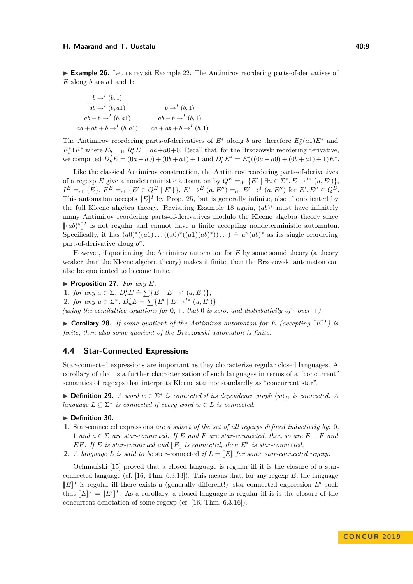#### **H.** Maarand and T. Uustalu **10:9** and 10:9

► **Example 26.** Let us revisit Example [22.](#page-6-2) The Antimirov reordering parts-of-derivatives of *E* along *b* are *a*1 and 1:

| $b \rightarrow^{I} (b,1)$             |                                      |
|---------------------------------------|--------------------------------------|
| $ab \rightarrow^{I} (b, a1)$          | $b \rightarrow^{I} (b,1)$            |
| $ab + b \rightarrow^{I} (b, a1)$      | $ab + b \rightarrow^{I} (b, 1)$      |
| $aa + ab + b \rightarrow^{I} (b, a1)$ | $aa + ab + b \rightarrow^{I} (b, 1)$ |

The Antimirov reordering parts-of-derivatives of  $E^*$  along *b* are therefore  $E_b^*(a_1)E^*$  and  $E_b^* 1E^*$  where  $E_b =$ df  $R_b^I E = aa + a0 + 0$ . Recall that, for the Brzozowski reordering derivative, we computed  $D_b^I E = (0a + a0) + (0b + a1) + 1$  and  $D_b^I E^* = E_b^* ((0a + a0) + (0b + a1) + 1)E^*$ .

Like the classical Antimirov construction, the Antimirov reordering parts-of-derivatives of a regexp *E* give a nondeterministic automaton by  $Q^E =_{df} \{ E' \mid \exists u \in \Sigma^* . E \rightarrow^{I*} (u, E') \},$  $I^E =$ df  $\{E\}, F^E =$ df  $\{E' \in Q^E \mid E' \downarrow\}, E' \to^E (a, E'') =$ df  $E' \to^I (a, E'')$  for  $E', E'' \in Q^E$ . This automaton accepts  $[[E]]^I$  by Prop. [25,](#page-7-0) but is generally infinite, also if quotiented by the full Kleepe elgebra theory. Begining Frample 18 example  $(a^k)^*$  must have infinitely the full Kleene algebra theory. Revisiting Example [18](#page-6-1) again,  $(ab)^*$  must have infinitely many Antimirov reordering parts-of-derivatives modulo the Kleene algebra theory since  $\llbracket (ab)^* \rrbracket^I$  is not regular and cannot have a finite accepting nondeterministic automaton.  $\text{Specifically, it has } (a0)^*((a1)\dots((a0)^*((a1)(ab)^*))\dots) = a^n(ab)^*$  as its single reordering part-of-derivative along *b n*.

However, if quotienting the Antimirov automaton for *E* by some sound theory (a theory weaker than the Kleene algebra theory) makes it finite, then the Brzozowski automaton can also be quotiented to become finite.

 $\blacktriangleright$  **Proposition 27.** *For any E*,

1. *for any*  $a \in \Sigma$ *,*  $D_a^I E \doteq \sum \{E' \mid E \to^I (a, E')\}$ ; **2.** *for any*  $u \in \Sigma^*$ ,  $D_u^I E \doteq \sum \{E' \mid E \to I^* \ (u, E')\}$ 

*(using the semilattice equations for*  $0, +$ *, that* 0 *is zero, and distributivity of*  $\cdot$  *over*  $+$ *).* 

 $\triangleright$  **Corollary 28.** *If some quotient of the Antimirov automaton for E (accepting*  $[[E]]^I$ *) is finite, then also some quotient of the Brzozowski automaton is finite.*

#### <span id="page-8-0"></span>**4.4 Star-Connected Expressions**

Star-connected expressions are important as they characterize regular closed languages. A corollary of that is a further characterization of such languages in terms of a "concurrent" semantics of regexps that interprets Kleene star nonstandardly as "concurrent star".

**► Definition 29.** *A word*  $w \in \Sigma^*$  *is connected if its dependence graph*  $\langle w \rangle_D$  *is connected. A language*  $L \subseteq \Sigma^*$  *is connected if every word*  $w \in L$  *is connected.* 

#### $\blacktriangleright$  Definition 30.

- **1.** Star-connected expressions *are a subset of the set of all regexps defined inductively by:* 0*,* 1 and  $a \in \Sigma$  are star-connected. If E and F are star-connected, then so are  $E + F$  and *EF.* If *E is star-connected and*  $[E]$  *is connected, then*  $E^*$  *is star-connected.*
- **2.** *A language L is said to be* star-connected *if*  $L = \mathbb{E}$  *for some star-connected regexp.*

Ochmański [\[15\]](#page-14-15) proved that a closed language is regular iff it is the closure of a starconnected language (cf. [\[16,](#page-14-10) Thm. 6.3.13]). This means that, for any regexp *E*, the language  $\llbracket E \rrbracket^I$  is regular iff there exists a (generally different!) star-connected expression *E'* such<br>that  $\llbracket F \rrbracket^I$   $\llbracket F \rrbracket^I$   $\sim$   $\llbracket F \rrbracket^I$   $\sim$   $\llbracket F \rrbracket^I$   $\sim$   $\llbracket F \rrbracket^I$   $\sim$   $\llbracket F \rrbracket^I$   $\sim$ that  $[[E]]^I = [[E']]^I$ . As a corollary, a closed language is regular iff it is the closure of the concurrent denotation of some regexp (cf. [\[16,](#page-14-10) Thm. 6.3.16]).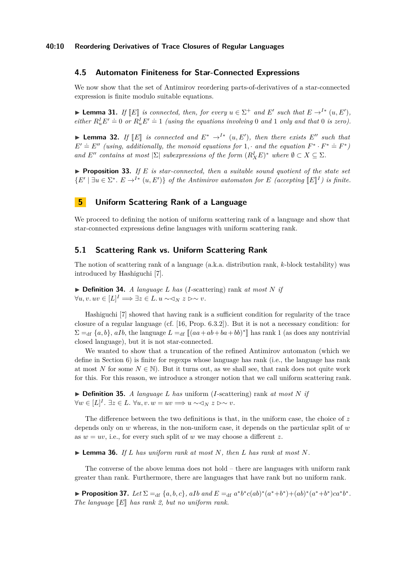## **4.5 Automaton Finiteness for Star-Connected Expressions**

We now show that the set of Antimirov reordering parts-of-derivatives of a star-connected expression is finite modulo suitable equations.

► **Lemma 31.** *If*  $[E]$  *is connected, then, for every*  $u \in \Sigma^+$  *and*  $E'$  *such that*  $E \to^{I*} (u, E')$ , *aithon*  $P[E] \to 0$  *son*  $P[E'] \to 1$  *(using the sequations involving*) and 1 or *k* and that 0 *is seen*). *either*  $R^I_u E' = 0$  *or*  $R^I_u E' = 1$  *(using the equations involving* 0 *and* 1 *only and that* 0 *is zero*).

► **Lemma 32.** *If*  $[E]$  *is connected and*  $E^* \to^{I*} (u, E')$ *, then there exists*  $E''$  *such that*  $F' \to F''$  (*using additionally the mangio* existence for 1 and the existence  $F^* \to F^* \to F^*$ )  $E' \doteq E''$  *(using, additionally, the monoid equations for* 1*,* · *and the equation*  $F^* \cdot F^* \doteq F^*$ ) *and*  $E''$  *contains at most*  $|\Sigma|$  *subexpressions of the form*  $(R_X^I E)^*$  *where*  $\emptyset \subset X \subseteq \Sigma$ *.* 

**Proposition 33.** If  $E$  is star-connected, then a suitable sound quotient of the state set  ${E' \mid \exists u \in \Sigma^* \colon E \to^{I*} (u, E') }$  *of the Antimirov automaton for E (accepting*  $[E]^I$ *) is finite.* 

# <span id="page-9-0"></span>**5 Uniform Scattering Rank of a Language**

We proceed to defining the notion of uniform scattering rank of a language and show that star-connected expressions define languages with uniform scattering rank.

#### **5.1 Scattering Rank vs. Uniform Scattering Rank**

The notion of scattering rank of a language (a.k.a. distribution rank, *k*-block testability) was introduced by Hashiguchi [\[7\]](#page-14-5).

 $\triangleright$  **Definition 34.** *A language L has (I-scattering) rank <i>at most N if*  $\forall u, v. uv \in [L]^I \Longrightarrow \exists z \in L. u \sim \langle y, z \rangle \sim v.$ 

Hashiguchi [\[7\]](#page-14-5) showed that having rank is a sufficient condition for regularity of the trace closure of a regular language (cf. [\[16,](#page-14-10) Prop. 6.3.2]). But it is not a necessary condition: for  $\Sigma =_{df} \{a, b\}$ ,  $aIb$ , the language  $L =_{df} [(aa + ab + ba + bb)^*]$  has rank 1 (as does any nontrivial closed language), but it is not star-connected.

We wanted to show that a truncation of the refined Antimirov automaton (which we define in Section [6\)](#page-10-0) is finite for regexps whose language has rank (i.e., the language has rank at most *N* for some  $N \in \mathbb{N}$ ). But it turns out, as we shall see, that rank does not quite work for this. For this reason, we introduce a stronger notion that we call uniform scattering rank.

 $\triangleright$  **Definition 35.** *A language L has uniform (I-scattering) rank <i>at most N if*  $\forall w \in [L]^I$ . ∃z ∈ *L*.  $\forall u, v. w = uv \Longrightarrow u \sim \triangleleft_N z \rhd \sim v$ .

The difference between the two definitions is that, in the uniform case, the choice of *z* depends only on *w* whereas, in the non-uniform case, it depends on the particular split of *w* as  $w = uv$ , i.e., for every such split of  $w$  we may choose a different  $z$ .

 $\triangleright$  **Lemma 36.** If *L* has uniform rank at most *N*, then *L* has rank at most *N*.

The converse of the above lemma does not hold – there are languages with uniform rank greater than rank. Furthermore, there are languages that have rank but no uniform rank.

<span id="page-9-1"></span>► Proposition 37. Let  $\Sigma =_{df} \{a, b, c\}$ , aIb and  $E =_{df} a^*b^*c(ab)^*(a^*+b^*)+(ab)^*(a^*+b^*)ca^*b^*$ . *The language*  $\llbracket E \rrbracket$  *has rank 2, but no uniform rank.*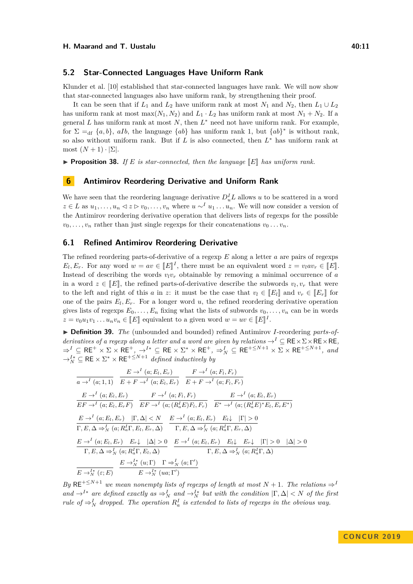#### **5.2 Star-Connected Languages Have Uniform Rank**

Klunder et al. [\[10\]](#page-14-16) established that star-connected languages have rank. We will now show that star-connected languages also have uniform rank, by strengthening their proof.

It can be seen that if  $L_1$  and  $L_2$  have uniform rank at most  $N_1$  and  $N_2$ , then  $L_1 \cup L_2$ has uniform rank at most max $(N_1, N_2)$  and  $L_1 \cdot L_2$  has uniform rank at most  $N_1 + N_2$ . If a general  $L$  has uniform rank at most  $N$ , then  $L^*$  need not have uniform rank. For example, for  $\Sigma =_{df} \{a, b\}$ , *aIb*, the language  $\{ab\}$  has uniform rank 1, but  $\{ab\}^*$  is without rank, so also without uniform rank. But if *L* is also connected, then *L* <sup>∗</sup> has uniform rank at most  $(N+1) \cdot |\Sigma|$ .

**Proposition 38.** If E is star-connected, then the language  $\mathbb{E}$  has uniform rank.

# <span id="page-10-0"></span>**6 Antimirov Reordering Derivative and Uniform Rank**

We have seen that the reordering language derivative  $D_u^I L$  allows *u* to be scattered in a word  $z \in L$  as  $u_1, \ldots, u_n \leq z \geq v_0, \ldots, v_n$  where  $u \sim^I u_1 \ldots u_n$ . We will now consider a version of the Antimirov reordering derivative operation that delivers lists of regexps for the possible  $v_0, \ldots, v_n$  rather than just single regexps for their concatenations  $v_0 \ldots v_n$ .

### **6.1 Refined Antimirov Reordering Derivative**

The refined reordering parts-of-derivative of a regexp *E* along a letter *a* are pairs of regexps  $E_l, E_r$ . For any word  $w = av \in [E]^I$ , there must be an equivalent word  $z = v_l a v_r \in [E]$ . Instead of describing the words  $v_l v_r$  obtainable by removing a minimal occurrence of *a* in a word  $z \in [E]$ , the refined parts-of-derivative describe the subwords  $v_l, v_r$  that were to the left and right of this *a* in *z*: it must be the case that  $v_l \in \llbracket E_l \rrbracket$  and  $v_r \in \llbracket E_r \rrbracket$  for one of the pairs  $E_l, E_r$ . For a longer word  $u$ , the refined reordering derivative operation gives lists of regexps  $E_0, \ldots, E_n$  fixing what the lists of subwords  $v_0, \ldots, v_n$  can be in words  $z = v_0 u_1 v_1 \dots u_n v_n \in [E]$  equivalent to a given word  $w = uv \in [E]$ <sup>T</sup>.

▶ **Definition 39.** *The* (unbounded and bounded) refined Antimirov *I*-reordering *parts-ofderivatives of a regexp along a letter and a word are given by relations*  $\rightarrow^I \subseteq \mathsf{RE} \times \Sigma \times \mathsf{RE} \times \mathsf{RE}$ ,  $\Rightarrow^{I} \subseteq$  RE<sup>+</sup>  $\times$   $\Sigma$   $\times$  RE<sup>+</sup>,  $\rightarrow^{I*}$   $\subseteq$  RE  $\times$   $\Sigma^{*}$   $\times$  RE<sup>+</sup>,  $\Rightarrow^{I}_{N}$   $\subseteq$  RE<sup>+ $\leq$ N+1</sup>  $\times$   $\Sigma$   $\times$  RE<sup>+ $\leq$ N+1</sup>, and  $\rightarrow_N^{I*} \subseteq \text{RE} \times \Sigma^* \times \text{RE}^{+\leq N+1}$  *defined inductively by* 

$$
\frac{E \rightarrow^{I} (a; E_{l}, E_{r})}{a \rightarrow^{I} (a; 1, 1)} \frac{E \rightarrow^{I} (a; E_{l}, E_{r})}{E + F \rightarrow^{I} (a; E_{l}, E_{r})} \frac{F \rightarrow^{I} (a; F_{l}, F_{r})}{E + F \rightarrow^{I} (a; F_{l}, F_{r})}
$$
\n
$$
\frac{E \rightarrow^{I} (a; E_{l}, E_{r})}{EF \rightarrow^{I} (a; E_{l}, E_{r}F)} \frac{F \rightarrow^{I} (a; F_{l}, F_{r})}{EF \rightarrow^{I} (a; (R_{a}^{I}E)F_{l}, F_{r})} \frac{E \rightarrow^{I} (a; E_{l}, E_{r})}{E^{*} \rightarrow^{I} (a; (R_{a}^{I}E)^{*}E_{l}, E_{r}E^{*})}
$$
\n
$$
\frac{E \rightarrow^{I} (a; E_{l}, E_{r})}{\Gamma, E, \Delta \Rightarrow^{I}_{N} (a; R_{a}^{I}\Gamma, E_{l}, E_{r}, \Delta)} \frac{E \rightarrow^{I} (a; E_{l}, E_{r})}{\Gamma, E, \Delta \Rightarrow^{I}_{N} (a; R_{a}^{I}\Gamma, E_{r}, \Delta)}
$$
\n
$$
\frac{E \rightarrow^{I} (a; E_{l}, E_{r})}{\Gamma, E, \Delta \Rightarrow^{I}_{N} (a; R_{a}^{I}\Gamma, E_{l}, \Delta)} \frac{E \rightarrow^{I} (a; E_{l}, E_{r})}{\Gamma, E, \Delta \Rightarrow^{I}_{N} (a; R_{a}^{I}\Gamma, E_{r}, \Delta)}
$$
\n
$$
\frac{E \rightarrow^{I} (a; E_{l}, E_{r})}{\Gamma, E, \Delta \Rightarrow^{I}_{N} (a; R_{a}^{I}\Gamma, E_{l}, \Delta)} \frac{E \rightarrow^{I} (a; E_{l}, E_{r})}{\Gamma, E, \Delta \Rightarrow^{I}_{N} (a; R_{a}^{I}\Gamma, \Delta)}
$$

*By*  $RE^{+\leq N+1}$  *we mean nonempty lists of regexps of length at most*  $N + 1$ *. The relations*  $\Rightarrow$ <sup>*I*</sup>  $and \rightarrow^{I*} are defined exactly as \Rightarrow^{I}_{N} and \rightarrow^{I*}_{N} but with the condition  $|\Gamma, \Delta| < N$  of the first$ *rule of*  $\Rightarrow_N^I$  *dropped. The operation*  $R_a^I$  *is extended to lists of regexps in the obvious way.*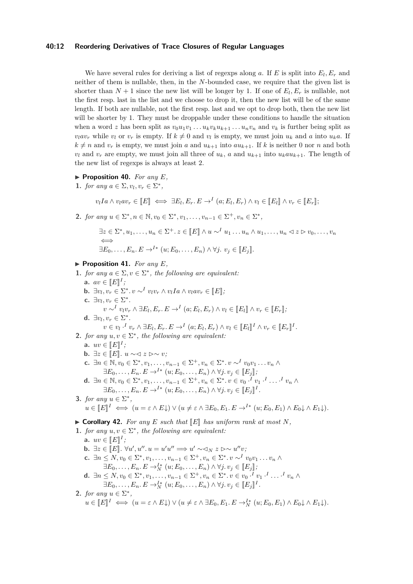#### **40:12 Reordering Derivatives of Trace Closures of Regular Languages**

We have several rules for deriving a list of regexps along  $a$ . If  $E$  is split into  $E_l, E_r$  and neither of them is nullable, then, in the *N*-bounded case, we require that the given list is shorter than  $N + 1$  since the new list will be longer by 1. If one of  $E_l, E_r$  is nullable, not the first resp. last in the list and we choose to drop it, then the new list will be of the same length. If both are nullable, not the first resp. last and we opt to drop both, then the new list will be shorter by 1. They must be droppable under these conditions to handle the situation when a word z has been split as  $v_0u_1v_1 \ldots u_kv_ku_{k+1} \ldots u_nv_n$  and  $v_k$  is further being split as  $v_l a v_r$  while  $v_l$  or  $v_r$  is empty. If  $k \neq 0$  and  $v_l$  is empty, we must join  $u_k$  and  $a$  into  $u_k a$ . If  $k \neq n$  and  $v_r$  is empty, we must join *a* and  $u_{k+1}$  into  $au_{k+1}$ . If *k* is neither 0 nor *n* and both  $v_l$  and  $v_r$  are empty, we must join all three of  $u_k$ , *a* and  $u_{k+1}$  into  $u_k a u_{k+1}$ . The length of the new list of regexps is always at least 2.

- $\blacktriangleright$  **Proposition 40.** *For any E*,
- **1.** *for any*  $a \in \Sigma$ ,  $v_l, v_r \in \Sigma^*$ ,

 $v_l Ia \wedge v_l a v_r \in [E] \iff \exists E_l, E_r, E \rightarrow^I (a; E_l, E_r) \wedge v_l \in [E_l] \wedge v_r \in [E_r];$ 

**2.** *for any*  $u \in \Sigma^*, n \in \mathbb{N}, v_0 \in \Sigma^*, v_1, \ldots, v_{n-1} \in \Sigma^+, v_n \in \Sigma^*,$ 

$$
\exists z \in \Sigma^*, u_1, \dots, u_n \in \Sigma^+. \ z \in [E] \land u \sim^I u_1 \dots u_n \land u_1, \dots, u_n \lhd z \rhd v_0, \dots, v_n
$$
  
\n
$$
\iff
$$
  
\n
$$
\exists E_0, \dots, E_n. E \to^{I*} (u; E_0, \dots, E_n) \land \forall j. \ v_j \in [E_j].
$$

- <span id="page-11-0"></span> $\blacktriangleright$  **Proposition 41.** *For any E*,
- **1.** *for any*  $a \in \Sigma$ ,  $v \in \Sigma^*$ , *the following are equivalent:* **a.**  $av \in [E]^I;$ <br>**b**  $\exists u, u \in \mathbb{R}$ **b.**  $\exists v_l, v_r \in \Sigma^*$ ,  $v \sim^I v_l v_r \wedge v_l I a \wedge v_l a v_r \in [E];$ **c.**  $\exists v_l, v_r \in \Sigma^*$ .  $v \sim^{I} v_{l}v_{r} \wedge \exists E_{l}, E_{r}. E \rightarrow^{I} (a; E_{l}, E_{r}) \wedge v_{l} \in [E_{l}] \wedge v_{r} \in [E_{r}],$ **d.**  $\exists v_l, v_r \in \Sigma^*$ .

$$
v \in v_l \cdot^I v_r \wedge \exists E_l, E_r. E \rightarrow^I (a; E_l, E_r) \wedge v_l \in [ [E_l]]^I \wedge v_r \in [ [E_r]]^I.
$$
  
**2.** for any  $u, v \in \Sigma^*$ , the following are equivalent:

- **a.**  $uv \in \llbracket E \rrbracket^I;$ <br>**b**  $\exists v \in \llbracket F \rrbracket$
- **b.** ∃ $z \in \llbracket E \rrbracket$ .  $u \sim \lhd z \rhd \sim v$ *;*
- **c.**  $\exists n \in \mathbb{N}, v_0 \in \Sigma^*, v_1, \ldots, v_{n-1} \in \Sigma^+, v_n \in \Sigma^*, v \sim^I v_0 v_1 \ldots v_n$  $\exists E_0, \ldots, E_n, E \to^{I*} (u; E_0, \ldots, E_n) \land \forall j, v_j \in [E_j],$
- **d.**  $\exists n \in \mathbb{N}, v_0 \in \Sigma^*, v_1, \ldots, v_{n-1} \in \Sigma^+, v_n \in \Sigma^*, v \in v_0 \cdot^I v_1 \cdot^I \ldots^I v_n \wedge$  $\exists E_0, \ldots, E_n, E \to^{I*} (u; E_0, \ldots, E_n) \land \forall j, v_j \in [E_j]^I.$
- **3.** *for any*  $u \in \Sigma^*$ ,

$$
u \in [E]^I \iff (u = \varepsilon \wedge E \downarrow) \vee (u \neq \varepsilon \wedge \exists E_0, E_1 \ldots E \rightarrow I^* (u; E_0, E_1) \wedge E_0 \downarrow \wedge E_1 \downarrow).
$$

#### <span id="page-11-1"></span> $\triangleright$  **Corollary 42.** For any E such that  $\mathbb{E}$  has uniform rank at most N,

```
1. for any u, v \in \Sigma^*, the following are equivalent:
```
**a.**  $uv \in \llbracket E \rrbracket^I;$ <br>**b.**  $\exists v \in \llbracket E \rrbracket$ **b.**  $\exists z \in [E]$ .  $\forall u', u'', u = u'u'' \implies u' \sim \exists y, z \rhd\sim u''v$ ; **c.**  $\exists n \leq N, v_0 \in \Sigma^*, v_1, \ldots, v_{n-1} \in \Sigma^+, v_n \in \Sigma^*, v \sim^I v_0 v_1 \ldots v_n$  ∧  $\exists E_0, \ldots, E_n, E \to_N^{I*} (u; E_0, \ldots, E_n) \land \forall j, v_j \in [E_j],$ <br>  $\leq N, v_i \in \mathbb{R}^*, v_i \in \mathbb{R}^+, v_i \in \mathbb{R}^*, i \in \mathbb{R}^+$ **d.**  $\exists n \leq N, v_0 \in \Sigma^*, v_1, \ldots, v_{n-1} \in \Sigma^+, v_n \in \Sigma^*, v \in v_0 \cdot^I v_1 \cdot^I \ldots \cdot^I v_n \wedge$  $\exists E_0, \ldots, E_n, E \to_N^{I*} (u; E_0, \ldots, E_n) \land \forall j, v_j \in [E_j]^I.$ **2.** *for any*  $u \in \Sigma^*$ ,  $u \in [E]^I \iff (u = \varepsilon \wedge E\downarrow) \vee (u \neq \varepsilon \wedge \exists E_0, E_1, E \rightarrow_N^{I*} (u; E_0, E_1) \wedge E_0 \downarrow \wedge E_1 \downarrow).$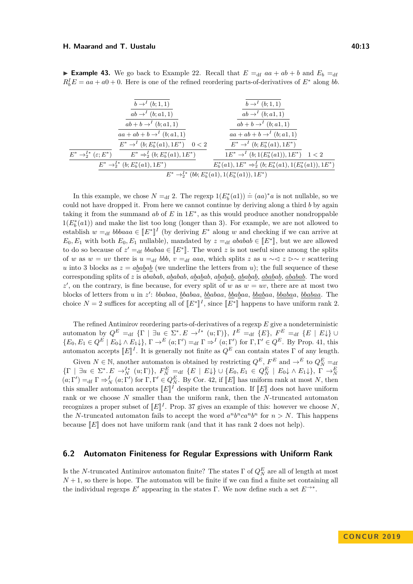#### **H. Maarand and T. Uustalu 40:13**

**Example 43.** We go back to Example [22.](#page-6-2) Recall that  $E = df$   $aa + ab + b$  and  $E_b = df$  $R_b^I E = aa + a0 + 0$ . Here is one of the refined reordering parts-of-derivatives of  $E^*$  along *bb*.

|                                             | $b \rightarrow^{I} (b; 1, 1)$                | $b \rightarrow^{I} (b; 1, 1)$                                        |
|---------------------------------------------|----------------------------------------------|----------------------------------------------------------------------|
|                                             | $ab \rightarrow^{I} (b; a_1, 1)$             | $ab \rightarrow^{I} (b; a1, 1)$                                      |
|                                             | $ab + b \rightarrow^{I} (b; a_1, 1)$         | $ab + b \rightarrow^{I} (b; a_1, 1)$                                 |
|                                             | $aa + ab + b \rightarrow^{I} (b; a1, 1)$     | $aa + ab + b \rightarrow^{I} (b; a1, 1)$                             |
|                                             | $E^* \to^I (b; E_h^*(a1), 1E^*) \quad 0 < 2$ | $E^* \to^I (b; E_h^*(a1), 1E^*)$                                     |
| $E^* \rightarrow_2^{I*} (\varepsilon; E^*)$ | $E^* \Rightarrow_2^I (b; E_h^*(a1), 1E^*)$   | $1E^* \rightarrow^I (b; 1(E_b^*(a1)), 1E^*) \quad 1 < 2$             |
|                                             | $E^* \rightarrow 2^k (b; E_b^*(a1), 1E^*)$   | $E_b^*(a1), 1E^* \Rightarrow_2^I (b; E_b^*(a1), 1(E_b^*(a1)), 1E^*)$ |
|                                             |                                              | $E^* \rightarrow 2^k (bb; E_h^*(a1), 1(E_h^*(a1)), 1E^*)$            |
|                                             |                                              |                                                                      |

In this example, we chose  $N =_{df} 2$ . The regexp  $1(E_b^*(a_1)) \doteq (aa)^*a$  is not nullable, so we could not have dropped it. From here we cannot continue by deriving along a third *b* by again taking it from the summand  $ab$  of  $E$  in  $1E^*$ , as this would produce another nondroppable  $1(E<sub>b</sub><sup>*</sup>(a1))$  and make the list too long (longer than 3). For example, we are not allowed to establish  $w =_{df} bbbaaa \in [E^*]^I$  (by deriving  $E^*$  along  $w$  and checking if we can arrive at  $E = E$ , with both  $E = E$ , willable) mondated by  $x = e^{kabab} \in [E^*]^I$  by two are allowed  $E_0, E_1$  with both  $E_0, E_1$  nullable), mandated by  $z =_{df} ababab \in [E^*]$ , but we are allowed to do so because of  $z' =_{df} bbabaa \in [E^*]$ . The word *z* is not useful since among the splits<br>of w as we can then is we able which splits  $x \geq x$ , and  $x \geq y$  is activating of *w* as  $w = uv$  there is  $u = df$  *bbb*,  $v = df$  *aaa*, which splits *z* as  $u \sim 1$   $z \sim v$  scattering *u* into 3 blocks as  $z = a \underline{b} \underline{a} \underline{b} \underline{a} \underline{b}$  (we underline the letters from *u*); the full sequence of these corresponding splits of *z* is *ababab*, *ababab*, *ababab*, *ababab*, *ababab*, *ababab*, *ababab*. The word  $z'$ , on the contrary, is fine because, for every split of *w* as  $w = uv$ , there are at most two blocks of letters from *u* in *z* 0 : *bbabaa*, *bbabaa*, *bbabaa*, *bbabaa*, *bbabaa*, *bbabaa*, *bbabaa*. The choice  $N = 2$  suffices for accepting all of  $[[E^*]]$ *I*<sup>*,*</sup> since  $[*E*<sup>∗</sup>$ <sup> $||$ </sup> happens to have uniform rank 2.

The refined Antimirov reordering parts-of-derivatives of a regexp *E* give a nondeterministic automaton by  $Q^E =$ df  $\{\Gamma \mid \exists u \in \Sigma^* . E \rightarrow^{I*} (u; \Gamma)\}, I^E =$ df  $\{E\}, F^E =$ df  $\{E \mid E\}\cup$  ${E_0, E_1 \in Q^E \mid E_0 \downarrow \wedge E_1 \downarrow}, \Gamma \to^E (a; \Gamma') =_{df} \Gamma \Rightarrow^I (a; \Gamma') \text{ for } \Gamma, \Gamma' \in Q^E.$  By Prop. [41,](#page-11-0) this automaton accepts  $[[E]]^I$ . It is generally not finite as  $Q^E$  can contain states  $\Gamma$  of any length.

Given  $N \in \mathbb{N}$ , another automaton is obtained by restricting  $Q^E$ ,  $F^E$  and  $\rightarrow^E$  to  $Q^E_N =$ df  $\{\Gamma \mid \exists u \in \Sigma^*.\ E \to_N^I (u; \Gamma) \}, F_K^E =_{df} \{E \mid E\} \cup \{E_0, E_1 \in Q_K^E \mid E_0 \} \wedge E_1 \}$ ,  $\Gamma \to_N^E$ <br>  $(a; \Gamma') =_{df} \Gamma \to_N^I (a; \Gamma')$  for  $\Gamma, \Gamma' \in Q_K^E$ . By Cor. [42,](#page-11-1) if  $[E]$  has uniform rank at most N, then<br>
this smaller outcometer accoun this smaller automaton accepts  $\llbracket E \rrbracket^I$  despite the truncation. If  $\llbracket E \rrbracket$  does not have uniform rank or we choose *N* smaller than the uniform rank, then the *N*-truncated automaton recognizes a proper subset of  $[[E]]^I$ . Prop. [37](#page-9-1) gives an example of this: however we choose *N*, the *N*-truncated automaton fails to accept the word  $a^n b^n ca^n b^n$  for  $n > N$ . This happens because  $\llbracket E \rrbracket$  does not have uniform rank (and that it has rank 2 does not help).

#### **6.2 Automaton Finiteness for Regular Expressions with Uniform Rank**

Is the *N*-truncated Antimirov automaton finite? The states  $\Gamma$  of  $Q_N^E$  are all of length at most  $N+1$ , so there is hope. The automaton will be finite if we can find a finite set containing all the individual regexps  $E'$  appearing in the states Γ. We now define such a set  $E^{\rightarrow *}$ .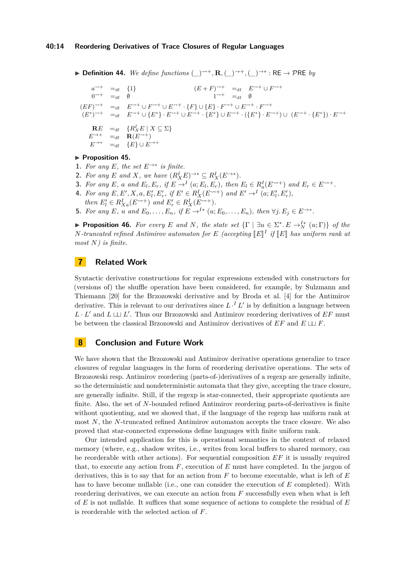#### **40:14 Reordering Derivatives of Trace Closures of Regular Languages**

**► Definition 44.** We define functions  $(\_)^{\rightarrow+}, \mathbf{R}, (\_)^{\rightarrow+}, (\_)^{\rightarrow*} : \mathsf{RE} \rightarrow \mathcal{P} \mathsf{RE}$  by

$$
a^{\rightarrow +} =_{df} \{1\}
$$
\n
$$
0^{\rightarrow +} =_{df} \emptyset
$$
\n
$$
(EF)^{\rightarrow +} =_{df} E^{\rightarrow +} \cup F^{\rightarrow +} \cup E^{\rightarrow +} \cdot \{F\} \cup \{E\} \cdot F^{\rightarrow +} \cup E^{\rightarrow +} \cdot F^{\rightarrow +}
$$
\n
$$
(EF)^{\rightarrow +} =_{df} E^{\rightarrow +} \cup F^{\rightarrow +} \cup E^{\rightarrow +} \cdot \{F\} \cup \{E\} \cdot F^{\rightarrow +} \cup E^{\rightarrow +} \cdot F^{\rightarrow +}
$$
\n
$$
(E^*)^{\rightarrow +} =_{df} E^{\rightarrow +} \cup \{E^*\} \cdot E^{\rightarrow +} \cup E^{\rightarrow +} \cdot \{E^*\} \cup E^{\rightarrow +} \cdot \{(E^*\} \cdot E^{\rightarrow +}) \cup (E^{\rightarrow +} \cdot \{E^*\}) \cdot E^{\rightarrow +}
$$
\n
$$
E^{\rightarrow +} =_{df} R(E^{\rightarrow +})
$$
\n
$$
E^{\rightarrow +} =_{df} \{E\} \cup E^{\rightarrow +}
$$

#### **Proposition 45.**

- **1.** For any *E*, the set  $E \rightarrow *$  is finite.
- **2.** For any *E* and *X*, we have  $(R_X^I E)^{\to*} \subseteq R_X^I(E^{\to*})$ .
- **3.** For any E, a and  $E_l, E_r$ , if  $E \to I$   $(a; E_l, E_r)$ , then  $E_l \in R_a^I(E^{\sim+})$  and  $E_r \in E^{\sim+}$ .
- **4.** For any  $E, E', X, a, E'_l, E'_r$ , if  $E' \in R_X^I(E^{\leadsto +})$  and  $E' \to^I (a; E'_l, E'_r)$ ,
	- *then*  $E'_l \in R_{Xa}^I(E^{\leadsto +})$  *and*  $E'_r \in R_X^I(E^{\leadsto +})$ *.*
- **5.** For any E, u and  $E_0, \ldots, E_n$ , if  $E \to^{I*} (u; E_0, \ldots, E_n)$ , then  $\forall j. E_j \in E \to^{**}$ .

**Proposition 46.** For every E and N, the state set  $\{\Gamma \mid \exists u \in \Sigma^* \cdot E \rightarrow_N^{I*}(u; \Gamma)\}$  of the *N-truncated refined Antimirov automaton for E (accepting*  $[[E]]$ <sup>*I*</sup> *if*  $[[E]]$  *has uniform rank at*  $\text{max } N$ *) is finite most N) is finite.*

## **7 Related Work**

Syntactic derivative constructions for regular expressions extended with constructors for (versions of) the shuffle operation have been considered, for example, by Sulzmann and Thiemann [\[20\]](#page-15-3) for the Brzozowski derivative and by Broda et al. [\[4\]](#page-14-17) for the Antimirov derivative. This is relevant to our derivatives since  $L \cdot^I L'$  is by definition a language between  $L \cdot L'$  and  $L \sqcup L'$ . Thus our Brzozowski and Antimirov reordering derivatives of *EF* must be between the classical Brzozowski and Antimirov derivatives of  $EF$  and  $E \sqcup F$ .

## **8 Conclusion and Future Work**

We have shown that the Brzozowski and Antimirov derivative operations generalize to trace closures of regular languages in the form of reordering derivative operations. The sets of Brzozowski resp. Antimirov reordering (parts-of-)derivatives of a regexp are generally infinite, so the deterministic and nondeterministic automata that they give, accepting the trace closure, are generally infinite. Still, if the regexp is star-connected, their appropriate quotients are finite. Also, the set of *N*-bounded refined Antimirov reordering parts-of-derivatives is finite without quotienting, and we showed that, if the language of the regexp has uniform rank at most *N*, the *N*-truncated refined Antimirov automaton accepts the trace closure. We also proved that star-connected expressions define languages with finite uniform rank.

Our intended application for this is operational semantics in the context of relaxed memory (where, e.g., shadow writes, i.e., writes from local buffers to shared memory, can be reorderable with other actions). For sequential composition *EF* it is usually required that, to execute any action from *F*, execution of *E* must have completed. In the jargon of derivatives, this is to say that for an action from *F* to become executable, what is left of *E* has to have become nullable (i.e., one can consider the execution of *E* completed). With reordering derivatives, we can execute an action from *F* successfully even when what is left of *E* is not nullable. It suffices that some sequence of actions to complete the residual of *E* is reorderable with the selected action of *F*.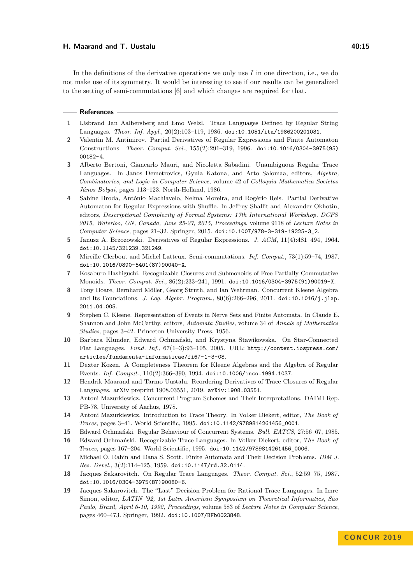#### **H. Maarand and T. Uustalu 40:15**

In the definitions of the derivative operations we only use *I* in one direction, i.e., we do not make use of its symmetry. It would be interesting to see if our results can be generalized to the setting of semi-commutations [\[6\]](#page-14-18) and which changes are required for that.

#### **References**

- <span id="page-14-12"></span>**1** IJsbrand Jan Aalbersberg and Emo Welzl. Trace Languages Defined by Regular String Languages. *Theor. Inf. Appl.*, 20(2):103–119, 1986. [doi:10.1051/ita/1986200201031](https://doi.org/10.1051/ita/1986200201031).
- <span id="page-14-4"></span>**2** Valentin M. Antimirov. Partial Derivatives of Regular Expressions and Finite Automaton Constructions. *Theor. Comput. Sci.*, 155(2):291–319, 1996. [doi:10.1016/0304-3975\(95\)](https://doi.org/10.1016/0304-3975(95)00182-4) [00182-4](https://doi.org/10.1016/0304-3975(95)00182-4).
- <span id="page-14-11"></span>**3** Alberto Bertoni, Giancarlo Mauri, and Nicoletta Sabadini. Unambiguous Regular Trace Languages. In Janos Demetrovics, Gyula Katona, and Arto Salomaa, editors, *Algebra, Combinatorics, and Logic in Computer Science*, volume 42 of *Colloquia Mathematica Societas János Bolyai*, pages 113–123. North-Holland, 1986.
- <span id="page-14-17"></span>**4** Sabine Broda, António Machiavelo, Nelma Moreira, and Rogério Reis. Partial Derivative Automaton for Regular Expressions with Shuffle. In Jeffrey Shallit and Alexander Okhotin, editors, *Descriptional Complexity of Formal Systems: 17th International Workshop, DCFS 2015, Waterloo, ON, Canada, June 25-27, 2015, Proceedings*, volume 9118 of *Lecture Notes in Computer Science*, pages 21–32. Springer, 2015. [doi:10.1007/978-3-319-19225-3\\_2](https://doi.org/10.1007/978-3-319-19225-3_2).
- <span id="page-14-3"></span>**5** Janusz A. Brzozowski. Derivatives of Regular Expressions. *J. ACM*, 11(4):481–494, 1964. [doi:10.1145/321239.321249](https://doi.org/10.1145/321239.321249).
- <span id="page-14-18"></span>**6** Mireille Clerbout and Michel Latteux. Semi-commutations. *Inf. Comput.*, 73(1):59–74, 1987. [doi:10.1016/0890-5401\(87\)90040-X](https://doi.org/10.1016/0890-5401(87)90040-X).
- <span id="page-14-5"></span>**7** Kosaburo Hashiguchi. Recognizable Closures and Submonoids of Free Partially Commutative Monoids. *Theor. Comput. Sci.*, 86(2):233–241, 1991. [doi:10.1016/0304-3975\(91\)90019-X](https://doi.org/10.1016/0304-3975(91)90019-X).
- <span id="page-14-9"></span>**8** Tony Hoare, Bernhard Möller, Georg Struth, and Ian Wehrman. Concurrent Kleene Algebra and Its Foundations. *J. Log. Algebr. Program.*, 80(6):266–296, 2011. [doi:10.1016/j.jlap.](https://doi.org/10.1016/j.jlap.2011.04.005) [2011.04.005](https://doi.org/10.1016/j.jlap.2011.04.005).
- <span id="page-14-7"></span>**9** Stephen C. Kleene. Representation of Events in Nerve Sets and Finite Automata. In Claude E. Shannon and John McCarthy, editors, *Automata Studies*, volume 34 of *Annals of Mathematics Studies*, pages 3–42. Princeton University Press, 1956.
- <span id="page-14-16"></span>**10** Barbara Klunder, Edward Ochmański, and Krystyna Stawikowska. On Star-Connected Flat Languages. *Fund. Inf.*, 67(1–3):93–105, 2005. URL: [http://content.iospress.com/](http://content.iospress.com/articles/fundamenta-informaticae/fi67-1-3-08) [articles/fundamenta-informaticae/fi67-1-3-08](http://content.iospress.com/articles/fundamenta-informaticae/fi67-1-3-08).
- <span id="page-14-6"></span>**11** Dexter Kozen. A Completeness Theorem for Kleene Algebras and the Algebra of Regular Events. *Inf. Comput.*, 110(2):366–390, 1994. [doi:10.1006/inco.1994.1037](https://doi.org/10.1006/inco.1994.1037).
- <span id="page-14-0"></span>**12** Hendrik Maarand and Tarmo Uustalu. Reordering Derivatives of Trace Closures of Regular Languages. arXiv preprint 1908.03551, 2019. [arXiv:1908.03551](http://arxiv.org/abs/1908.03551).
- <span id="page-14-1"></span>**13** Antoni Mazurkiewicz. Concurrent Program Schemes and Their Interpretations. DAIMI Rep. PB-78, University of Aarhus, 1978.
- <span id="page-14-2"></span>**14** Antoni Mazurkiewicz. Introduction to Trace Theory. In Volker Diekert, editor, *The Book of Traces*, pages 3–41. World Scientific, 1995. [doi:10.1142/9789814261456\\_0001](https://doi.org/10.1142/9789814261456_0001).
- <span id="page-14-15"></span>**15** Edward Ochmański. Regular Behaviour of Concurrent Systems. *Bull. EATCS*, 27:56–67, 1985.
- <span id="page-14-10"></span>**16** Edward Ochmański. Recognizable Trace Languages. In Volker Diekert, editor, *The Book of Traces*, pages 167–204. World Scientific, 1995. [doi:10.1142/9789814261456\\_0006](https://doi.org/10.1142/9789814261456_0006).
- <span id="page-14-8"></span>**17** Michael O. Rabin and Dana S. Scott. Finite Automata and Their Decision Problems. *IBM J. Res. Devel.*, 3(2):114–125, 1959. [doi:10.1147/rd.32.0114](https://doi.org/10.1147/rd.32.0114).
- <span id="page-14-13"></span>**18** Jacques Sakarovitch. On Regular Trace Languages. *Theor. Comput. Sci.*, 52:59–75, 1987. [doi:10.1016/0304-3975\(87\)90080-6](https://doi.org/10.1016/0304-3975(87)90080-6).
- <span id="page-14-14"></span>**19** Jacques Sakarovitch. The "Last" Decision Problem for Rational Trace Languages. In Imre Simon, editor, *LATIN '92, 1st Latin American Symposium on Theoretical Informatics, São Paulo, Brazil, April 6-10, 1992, Proceedings*, volume 583 of *Lecture Notes in Computer Science*, pages 460–473. Springer, 1992. [doi:10.1007/BFb0023848](https://doi.org/10.1007/BFb0023848).